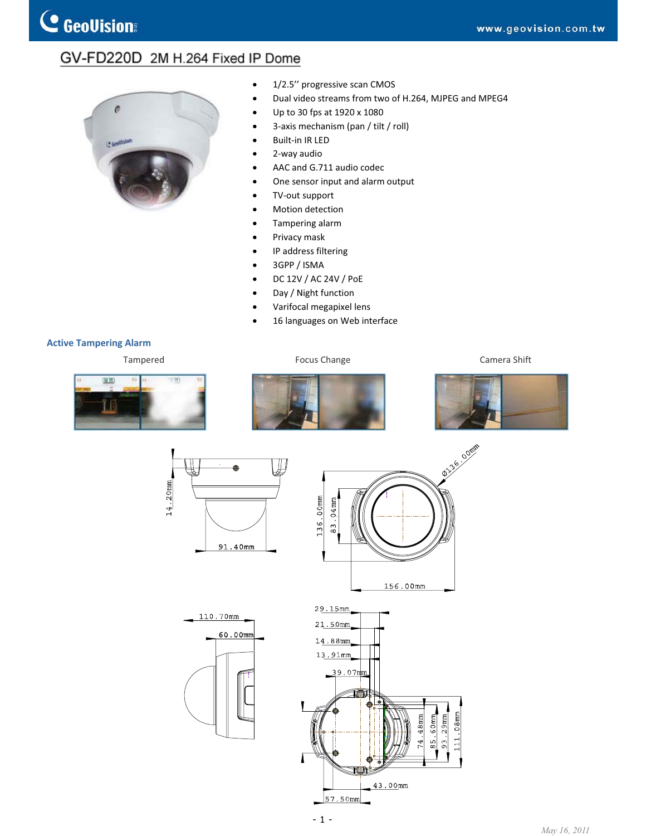## GV-FD220D 2M H.264 Fixed IP Dome



- $\bullet$  1/2.5" progressive scan CMOS
- Dual video streams from two of H.264, MJPEG and MPEG4
- $\bullet$  Up to 30 fps at 1920 x 1080
- 3-axis mechanism (pan / tilt / roll)
- Built-in IR LED
- 2-way audio
- AAC and G.711 audio codec
- One sensor input and alarm output
- TV-out support
- Motion detection
- Tampering alarm
- Privacy mask
- IP address filtering
- 3GPP / ISMA
- x DC 12V / AC 24V / PoE
- Day / Night function
- x Varifocal megapixel lens
- 16 languages on Web interface

## **Active Tampering Alarm**

Tampered Tampered Focus Change Camera Shift





110.70mm



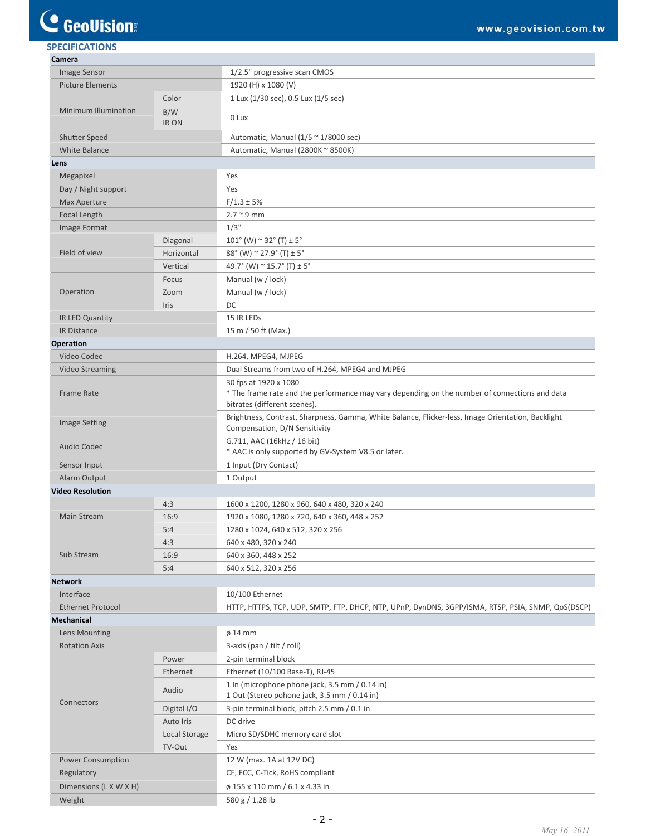## C GeoVision

| <b>SPECIFICATIONS</b>              |                    |                                                                                                                                    |
|------------------------------------|--------------------|------------------------------------------------------------------------------------------------------------------------------------|
| Camera                             |                    |                                                                                                                                    |
| Image Sensor                       |                    | 1/2.5" progressive scan CMOS                                                                                                       |
| <b>Picture Elements</b>            |                    | 1920 (H) x 1080 (V)                                                                                                                |
| <b>Minimum Illumination</b>        | Color              | 1 Lux (1/30 sec), 0.5 Lux (1/5 sec)                                                                                                |
|                                    | B/W<br><b>IRON</b> | 0 Lux                                                                                                                              |
| <b>Shutter Speed</b>               |                    | Automatic, Manual $(1/5 \approx 1/8000 \text{ sec})$                                                                               |
| <b>White Balance</b>               |                    | Automatic, Manual (2800K ~ 8500K)                                                                                                  |
| Lens                               |                    |                                                                                                                                    |
| Megapixel                          |                    | Yes                                                                                                                                |
| Day / Night support                |                    | Yes                                                                                                                                |
| <b>Max Aperture</b>                |                    | $F/1.3 \pm 5%$                                                                                                                     |
| Focal Length                       |                    | $2.7 \degree 9$ mm                                                                                                                 |
| Image Format                       |                    | 1/3"                                                                                                                               |
| Field of view                      | Diagonal           | $101^{\circ}$ (W) $\sim$ 32 $^{\circ}$ (T) $\pm$ 5 $^{\circ}$                                                                      |
|                                    | Horizontal         | 88° (W) $\sim$ 27.9° (T) $\pm$ 5°                                                                                                  |
|                                    | Vertical           | 49.7° (W) $\sim$ 15.7° (T) $\pm$ 5°                                                                                                |
|                                    | Focus              | Manual (w / lock)                                                                                                                  |
| Operation                          | Zoom               | Manual (w / lock)                                                                                                                  |
|                                    | <b>Iris</b>        | DC                                                                                                                                 |
| IR LED Quantity                    |                    | 15 IR LEDs                                                                                                                         |
| <b>IR Distance</b>                 |                    | 15 m / 50 ft (Max.)                                                                                                                |
| <b>Operation</b>                   |                    |                                                                                                                                    |
| Video Codec                        |                    | H.264, MPEG4, MJPEG                                                                                                                |
| <b>Video Streaming</b>             |                    | Dual Streams from two of H.264, MPEG4 and MJPEG                                                                                    |
| <b>Frame Rate</b>                  |                    | 30 fps at 1920 x 1080                                                                                                              |
|                                    |                    | * The frame rate and the performance may vary depending on the number of connections and data<br>bitrates (different scenes).      |
| <b>Image Setting</b>               |                    | Brightness, Contrast, Sharpness, Gamma, White Balance, Flicker-less, Image Orientation, Backlight<br>Compensation, D/N Sensitivity |
| <b>Audio Codec</b>                 |                    | G.711, AAC (16kHz / 16 bit)<br>* AAC is only supported by GV-System V8.5 or later.                                                 |
| Sensor Input                       |                    | 1 Input (Dry Contact)                                                                                                              |
| Alarm Output                       |                    | 1 Output                                                                                                                           |
| <b>Video Resolution</b>            |                    |                                                                                                                                    |
| Main Stream                        | 4:3                | 1600 x 1200, 1280 x 960, 640 x 480, 320 x 240                                                                                      |
|                                    | 16:9               | 1920 x 1080, 1280 x 720, 640 x 360, 448 x 252                                                                                      |
|                                    | 5:4                | 1280 x 1024, 640 x 512, 320 x 256                                                                                                  |
| Sub Stream                         | 4:3                | 640 x 480, 320 x 240                                                                                                               |
|                                    | 16:9               | 640 x 360, 448 x 252                                                                                                               |
|                                    | 5:4                | 640 x 512, 320 x 256                                                                                                               |
| <b>Network</b>                     |                    |                                                                                                                                    |
| Interface                          |                    | 10/100 Ethernet                                                                                                                    |
| <b>Ethernet Protocol</b>           |                    | HTTP, HTTPS, TCP, UDP, SMTP, FTP, DHCP, NTP, UPnP, DynDNS, 3GPP/ISMA, RTSP, PSIA, SNMP, QoS(DSCP)                                  |
| <b>Mechanical</b>                  |                    |                                                                                                                                    |
| Lens Mounting                      |                    | $\phi$ 14 mm                                                                                                                       |
| <b>Rotation Axis</b><br>Connectors |                    | 3-axis (pan / tilt / roll)                                                                                                         |
|                                    | Power              | 2-pin terminal block                                                                                                               |
|                                    | Ethernet           | Ethernet (10/100 Base-T), RJ-45                                                                                                    |
|                                    | Audio              | 1 In (microphone phone jack, 3.5 mm / 0.14 in)<br>1 Out (Stereo pohone jack, 3.5 mm / 0.14 in)                                     |
|                                    | Digital I/O        | 3-pin terminal block, pitch 2.5 mm / 0.1 in                                                                                        |
|                                    | Auto Iris          | DC drive                                                                                                                           |
|                                    | Local Storage      | Micro SD/SDHC memory card slot                                                                                                     |
|                                    | TV-Out             | Yes                                                                                                                                |
| <b>Power Consumption</b>           |                    | 12 W (max. 1A at 12V DC)                                                                                                           |
| Regulatory                         |                    | CE, FCC, C-Tick, RoHS compliant                                                                                                    |
| Dimensions (L X W X H)             |                    | ø 155 x 110 mm / 6.1 x 4.33 in                                                                                                     |

Weight **580 g / 1.28 lb**